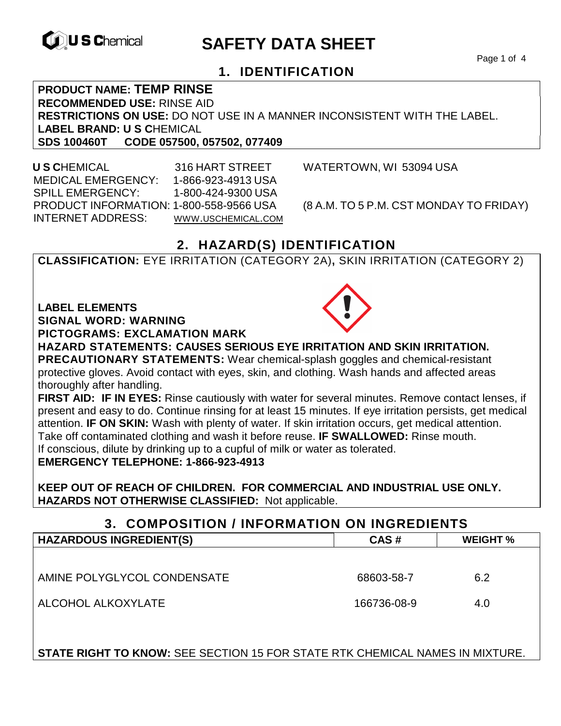

# **EXAGREM** SAFETY DATA SHEET

Page 1 of 4

## **1. IDENTIFICATION**

**PRODUCT NAME: TEMP RINSE RECOMMENDED USE:** RINSE AID **RESTRICTIONS ON USE:** DO NOT USE IN A MANNER INCONSISTENT WITH THE LABEL. **LABEL BRAND: U S C**HEMICAL

**SDS 100460T CODE 057500, 057502, 077409** 

 **U S C**HEMICAL 316 HART STREET WATERTOWN, WI 53094 USA MEDICAL EMERGENCY: 1-866-923-4913 USA SPILL EMERGENCY: 1-800-424-9300 USA PRODUCT INFORMATION: 1-800-558-9566 USA (8 A.M. TO 5 P.M. CST MONDAY TO FRIDAY) INTERNET ADDRESS: WWW.USCHEMICAL.COM

## **2. HAZARD(S) IDENTIFICATION**

**CLASSIFICATION:** EYE IRRITATION (CATEGORY 2A)**,** SKIN IRRITATION (CATEGORY 2)

**LABEL ELEMENTS** 

**SIGNAL WORD: WARNING**

**PICTOGRAMS: EXCLAMATION MARK**



**HAZARD STATEMENTS: CAUSES SERIOUS EYE IRRITATION AND SKIN IRRITATION. PRECAUTIONARY STATEMENTS:** Wear chemical-splash goggles and chemical-resistant protective gloves. Avoid contact with eyes, skin, and clothing. Wash hands and affected areas thoroughly after handling.

**FIRST AID: IF IN EYES:** Rinse cautiously with water for several minutes. Remove contact lenses, if present and easy to do. Continue rinsing for at least 15 minutes. If eye irritation persists, get medical attention. **IF ON SKIN:** Wash with plenty of water. If skin irritation occurs, get medical attention. Take off contaminated clothing and wash it before reuse. **IF SWALLOWED:** Rinse mouth. If conscious, dilute by drinking up to a cupful of milk or water as tolerated. **EMERGENCY TELEPHONE: 1-866-923-4913** 

**KEEP OUT OF REACH OF CHILDREN. FOR COMMERCIAL AND INDUSTRIAL USE ONLY. HAZARDS NOT OTHERWISE CLASSIFIED:** Not applicable.

#### **3. COMPOSITION / INFORMATION ON INGREDIENTS**

| <b>HAZARDOUS INGREDIENT(S)</b> | CAS#        | <b>WEIGHT %</b> |
|--------------------------------|-------------|-----------------|
|                                |             |                 |
| AMINE POLYGLYCOL CONDENSATE    | 68603-58-7  | 6.2             |
| ALCOHOL ALKOXYLATE             | 166736-08-9 | 4.0             |

**STATE RIGHT TO KNOW:** SEE SECTION 15 FOR STATE RTK CHEMICAL NAMES IN MIXTURE.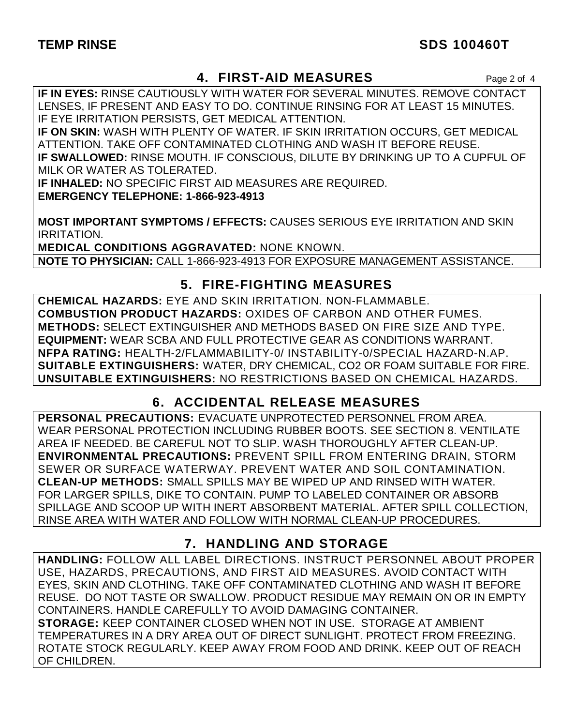## TEMP RINSE SDS 100460T

## **4. FIRST-AID MEASURES** Page 2 of 4

**IF IN EYES:** RINSE CAUTIOUSLY WITH WATER FOR SEVERAL MINUTES. REMOVE CONTACT LENSES, IF PRESENT AND EASY TO DO. CONTINUE RINSING FOR AT LEAST 15 MINUTES. IF EYE IRRITATION PERSISTS, GET MEDICAL ATTENTION.

**IF ON SKIN:** WASH WITH PLENTY OF WATER. IF SKIN IRRITATION OCCURS, GET MEDICAL ATTENTION. TAKE OFF CONTAMINATED CLOTHING AND WASH IT BEFORE REUSE. **IF SWALLOWED:** RINSE MOUTH. IF CONSCIOUS, DILUTE BY DRINKING UP TO A CUPFUL OF MILK OR WATER AS TOLERATED.

**IF INHALED:** NO SPECIFIC FIRST AID MEASURES ARE REQUIRED.

**EMERGENCY TELEPHONE: 1-866-923-4913** 

**MOST IMPORTANT SYMPTOMS / EFFECTS:** CAUSES SERIOUS EYE IRRITATION AND SKIN IRRITATION.

**MEDICAL CONDITIONS AGGRAVATED:** NONE KNOWN. **NOTE TO PHYSICIAN:** CALL 1-866-923-4913 FOR EXPOSURE MANAGEMENT ASSISTANCE.

## **5. FIRE-FIGHTING MEASURES**

**CHEMICAL HAZARDS:** EYE AND SKIN IRRITATION. NON-FLAMMABLE. **COMBUSTION PRODUCT HAZARDS:** OXIDES OF CARBON AND OTHER FUMES. **METHODS:** SELECT EXTINGUISHER AND METHODS BASED ON FIRE SIZE AND TYPE. **EQUIPMENT:** WEAR SCBA AND FULL PROTECTIVE GEAR AS CONDITIONS WARRANT. **NFPA RATING:** HEALTH-2/FLAMMABILITY-0/ INSTABILITY-0/SPECIAL HAZARD-N.AP. **SUITABLE EXTINGUISHERS:** WATER, DRY CHEMICAL, CO2 OR FOAM SUITABLE FOR FIRE. **UNSUITABLE EXTINGUISHERS:** NO RESTRICTIONS BASED ON CHEMICAL HAZARDS.

# **6. ACCIDENTAL RELEASE MEASURES**

**PERSONAL PRECAUTIONS:** EVACUATE UNPROTECTED PERSONNEL FROM AREA. WEAR PERSONAL PROTECTION INCLUDING RUBBER BOOTS. SEE SECTION 8. VENTILATE AREA IF NEEDED. BE CAREFUL NOT TO SLIP. WASH THOROUGHLY AFTER CLEAN-UP. **ENVIRONMENTAL PRECAUTIONS:** PREVENT SPILL FROM ENTERING DRAIN, STORM SEWER OR SURFACE WATERWAY. PREVENT WATER AND SOIL CONTAMINATION. **CLEAN-UP METHODS:** SMALL SPILLS MAY BE WIPED UP AND RINSED WITH WATER. FOR LARGER SPILLS, DIKE TO CONTAIN. PUMP TO LABELED CONTAINER OR ABSORB SPILLAGE AND SCOOP UP WITH INERT ABSORBENT MATERIAL. AFTER SPILL COLLECTION, RINSE AREA WITH WATER AND FOLLOW WITH NORMAL CLEAN-UP PROCEDURES.

# **7. HANDLING AND STORAGE**

**HANDLING:** FOLLOW ALL LABEL DIRECTIONS. INSTRUCT PERSONNEL ABOUT PROPER USE, HAZARDS, PRECAUTIONS, AND FIRST AID MEASURES. AVOID CONTACT WITH EYES, SKIN AND CLOTHING. TAKE OFF CONTAMINATED CLOTHING AND WASH IT BEFORE REUSE. DO NOT TASTE OR SWALLOW. PRODUCT RESIDUE MAY REMAIN ON OR IN EMPTY CONTAINERS. HANDLE CAREFULLY TO AVOID DAMAGING CONTAINER. **STORAGE:** KEEP CONTAINER CLOSED WHEN NOT IN USE. STORAGE AT AMBIENT TEMPERATURES IN A DRY AREA OUT OF DIRECT SUNLIGHT. PROTECT FROM FREEZING. ROTATE STOCK REGULARLY. KEEP AWAY FROM FOOD AND DRINK. KEEP OUT OF REACH OF CHILDREN.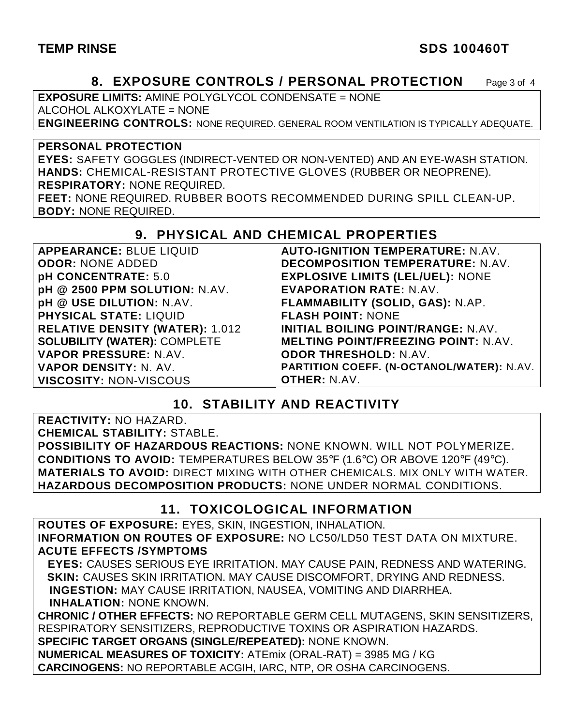## **TEMP RINSE** SDS 100460T

## **8. EXPOSURE CONTROLS / PERSONAL PROTECTION** Page 3 of 4

**EXPOSURE LIMITS:** AMINE POLYGLYCOL CONDENSATE = NONE ALCOHOL ALKOXYLATE = NONE

**ENGINEERING CONTROLS:** NONE REQUIRED. GENERAL ROOM VENTILATION IS TYPICALLY ADEQUATE.

#### **PERSONAL PROTECTION**

**EYES:** SAFETY GOGGLES (INDIRECT-VENTED OR NON-VENTED) AND AN EYE-WASH STATION. **HANDS:** CHEMICAL-RESISTANT PROTECTIVE GLOVES (RUBBER OR NEOPRENE). **RESPIRATORY:** NONE REQUIRED.

**FEET:** NONE REQUIRED. RUBBER BOOTS RECOMMENDED DURING SPILL CLEAN-UP. **BODY:** NONE REQUIRED.

#### **9. PHYSICAL AND CHEMICAL PROPERTIES**

| APPEARANCE: BLUE LIQUID                | <b>AUTO-IGNITION TEMPERATURE: N.AV.</b>          |
|----------------------------------------|--------------------------------------------------|
| <b>ODOR: NONE ADDED</b>                | <b>DECOMPOSITION TEMPERATURE: N.AV.</b>          |
| pH CONCENTRATE: 5.0                    | <b>EXPLOSIVE LIMITS (LEL/UEL): NONE</b>          |
| pH @ 2500 PPM SOLUTION: N.AV.          | <b>EVAPORATION RATE: N.AV.</b>                   |
| pH @ USE DILUTION: N.AV.               | FLAMMABILITY (SOLID, GAS): N.AP.                 |
| <b>PHYSICAL STATE: LIQUID</b>          | <b>FLASH POINT: NONE</b>                         |
| <b>RELATIVE DENSITY (WATER): 1.012</b> | <b>INITIAL BOILING POINT/RANGE: N.AV.</b>        |
| <b>SOLUBILITY (WATER): COMPLETE</b>    | <b>MELTING POINT/FREEZING POINT: N.AV.</b>       |
| VAPOR PRESSURE: N.AV.                  | <b>ODOR THRESHOLD: N.AV.</b>                     |
| VAPOR DENSITY: N. AV.                  | <b>PARTITION COEFF. (N-OCTANOL/WATER): N.AV.</b> |
| <b>VISCOSITY: NON-VISCOUS</b>          | <b>OTHER: N.AV.</b>                              |

### **10. STABILITY AND REACTIVITY**

**REACTIVITY:** NO HAZARD. **CHEMICAL STABILITY:** STABLE. **POSSIBILITY OF HAZARDOUS REACTIONS:** NONE KNOWN. WILL NOT POLYMERIZE. **CONDITIONS TO AVOID:** TEMPERATURES BELOW 35°F (1.6°C) OR ABOVE 120°F (49°C). **MATERIALS TO AVOID:** DIRECT MIXING WITH OTHER CHEMICALS. MIX ONLY WITH WATER. **HAZARDOUS DECOMPOSITION PRODUCTS:** NONE UNDER NORMAL CONDITIONS.

### **11. TOXICOLOGICAL INFORMATION**

**ROUTES OF EXPOSURE:** EYES, SKIN, INGESTION, INHALATION. **INFORMATION ON ROUTES OF EXPOSURE:** NO LC50/LD50 TEST DATA ON MIXTURE. **ACUTE EFFECTS /SYMPTOMS**

 **EYES:** CAUSES SERIOUS EYE IRRITATION. MAY CAUSE PAIN, REDNESS AND WATERING. **SKIN:** CAUSES SKIN IRRITATION. MAY CAUSE DISCOMFORT, DRYING AND REDNESS. **INGESTION:** MAY CAUSE IRRITATION, NAUSEA, VOMITING AND DIARRHEA. **INHALATION:** NONE KNOWN.

**CHRONIC / OTHER EFFECTS:** NO REPORTABLE GERM CELL MUTAGENS, SKIN SENSITIZERS, RESPIRATORY SENSITIZERS, REPRODUCTIVE TOXINS OR ASPIRATION HAZARDS. **SPECIFIC TARGET ORGANS (SINGLE/REPEATED):** NONE KNOWN. **NUMERICAL MEASURES OF TOXICITY:** ATEmix (ORAL-RAT) = 3985 MG / KG

**CARCINOGENS:** NO REPORTABLE ACGIH, IARC, NTP, OR OSHA CARCINOGENS.